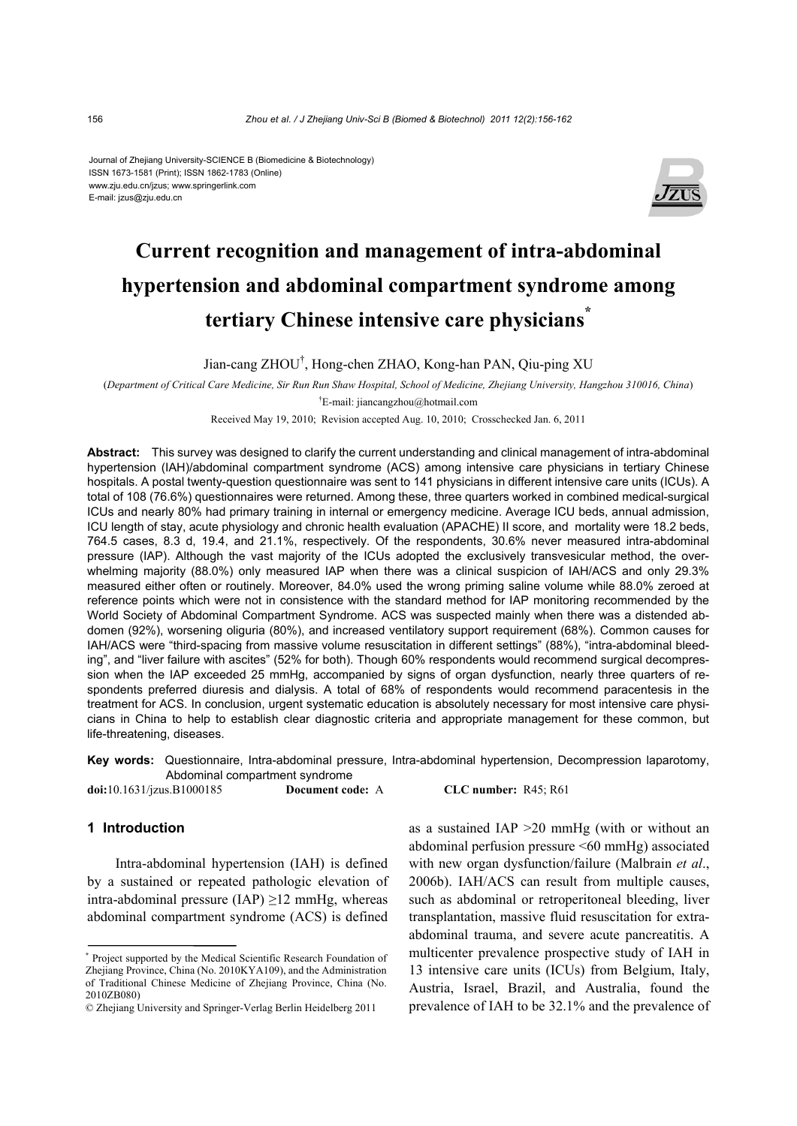#### Journal of Zhejiang University-SCIENCE B (Biomedicine & Biotechnology) ISSN 1673-1581 (Print); ISSN 1862-1783 (Online) www.zju.edu.cn/jzus; www.springerlink.com E-mail: jzus@zju.edu.cn



# **Current recognition and management of intra-abdominal hypertension and abdominal compartment syndrome among tertiary Chinese intensive care physicians\***

Jian-cang ZHOU† , Hong-chen ZHAO, Kong-han PAN, Qiu-ping XU

(*Department of Critical Care Medicine, Sir Run Run Shaw Hospital, School of Medicine, Zhejiang University, Hangzhou 310016, China*)

† E-mail: jiancangzhou@hotmail.com

Received May 19, 2010; Revision accepted Aug. 10, 2010; Crosschecked Jan. 6, 2011

**Abstract:** This survey was designed to clarify the current understanding and clinical management of intra-abdominal hypertension (IAH)/abdominal compartment syndrome (ACS) among intensive care physicians in tertiary Chinese hospitals. A postal twenty-question questionnaire was sent to 141 physicians in different intensive care units (ICUs). A total of 108 (76.6%) questionnaires were returned. Among these, three quarters worked in combined medical-surgical ICUs and nearly 80% had primary training in internal or emergency medicine. Average ICU beds, annual admission, ICU length of stay, acute physiology and chronic health evaluation (APACHE) II score, and mortality were 18.2 beds, 764.5 cases, 8.3 d, 19.4, and 21.1%, respectively. Of the respondents, 30.6% never measured intra-abdominal pressure (IAP). Although the vast majority of the ICUs adopted the exclusively transvesicular method, the overwhelming majority (88.0%) only measured IAP when there was a clinical suspicion of IAH/ACS and only 29.3% measured either often or routinely. Moreover, 84.0% used the wrong priming saline volume while 88.0% zeroed at reference points which were not in consistence with the standard method for IAP monitoring recommended by the World Society of Abdominal Compartment Syndrome. ACS was suspected mainly when there was a distended abdomen (92%), worsening oliguria (80%), and increased ventilatory support requirement (68%). Common causes for IAH/ACS were "third-spacing from massive volume resuscitation in different settings" (88%), "intra-abdominal bleeding", and "liver failure with ascites" (52% for both). Though 60% respondents would recommend surgical decompression when the IAP exceeded 25 mmHg, accompanied by signs of organ dysfunction, nearly three quarters of respondents preferred diuresis and dialysis. A total of 68% of respondents would recommend paracentesis in the treatment for ACS. In conclusion, urgent systematic education is absolutely necessary for most intensive care physicians in China to help to establish clear diagnostic criteria and appropriate management for these common, but life-threatening, diseases.

**Key words:** Questionnaire, Intra-abdominal pressure, Intra-abdominal hypertension, Decompression laparotomy, Abdominal compartment syndrome

**doi:**10.1631/jzus.B1000185 **Document code:** A **CLC number:** R45; R61

# **1 Introduction**

Intra-abdominal hypertension (IAH) is defined by a sustained or repeated pathologic elevation of intra-abdominal pressure  $(IAP) \ge 12$  mmHg, whereas abdominal compartment syndrome (ACS) is defined as a sustained IAP >20 mmHg (with or without an abdominal perfusion pressure <60 mmHg) associated with new organ dysfunction/failure (Malbrain *et al*., 2006b). IAH/ACS can result from multiple causes, such as abdominal or retroperitoneal bleeding, liver transplantation, massive fluid resuscitation for extraabdominal trauma, and severe acute pancreatitis. A multicenter prevalence prospective study of IAH in 13 intensive care units (ICUs) from Belgium, Italy, Austria, Israel, Brazil, and Australia, found the prevalence of IAH to be 32.1% and the prevalence of

**<sup>\*</sup>** Project supported by the Medical Scientific Research Foundation of Zhejiang Province, China (No. 2010KYA109), and the Administration of Traditional Chinese Medicine of Zhejiang Province, China (No. 2010ZB080)

<sup>©</sup> Zhejiang University and Springer-Verlag Berlin Heidelberg 2011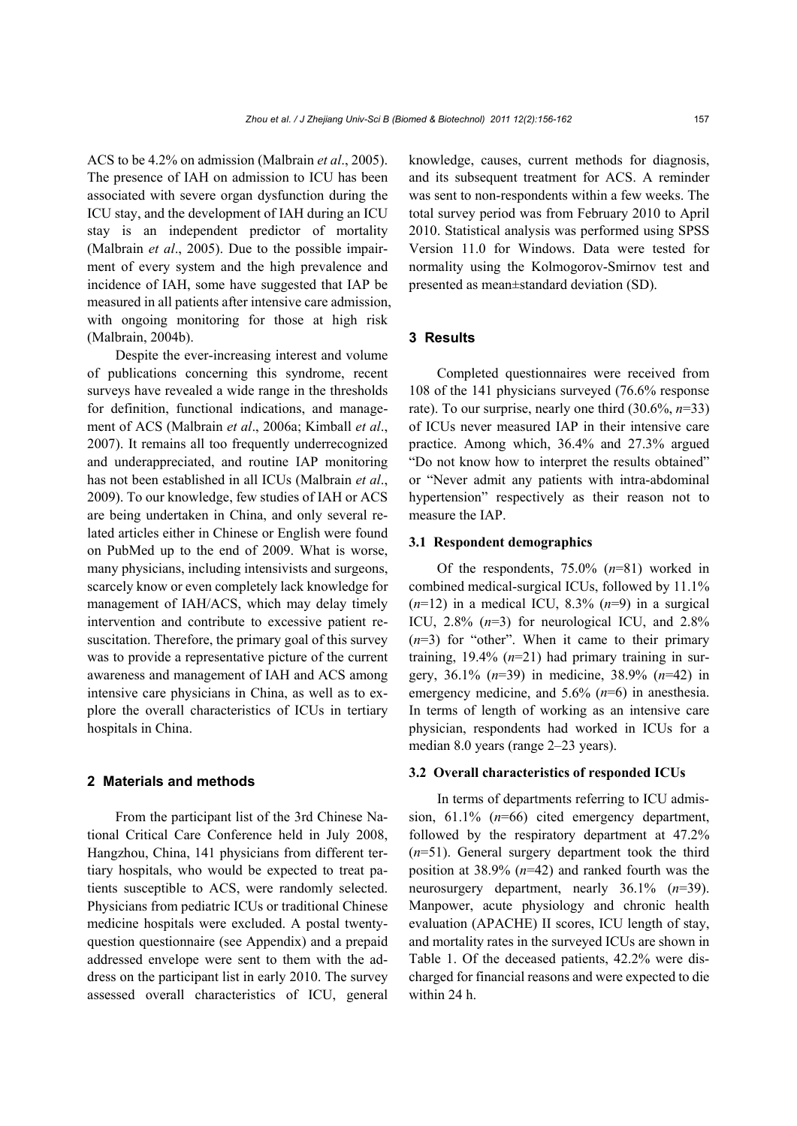ACS to be 4.2% on admission (Malbrain *et al*., 2005). The presence of IAH on admission to ICU has been associated with severe organ dysfunction during the ICU stay, and the development of IAH during an ICU stay is an independent predictor of mortality (Malbrain *et al*., 2005). Due to the possible impairment of every system and the high prevalence and incidence of IAH, some have suggested that IAP be measured in all patients after intensive care admission, with ongoing monitoring for those at high risk (Malbrain, 2004b).

Despite the ever-increasing interest and volume of publications concerning this syndrome, recent surveys have revealed a wide range in the thresholds for definition, functional indications, and management of ACS (Malbrain *et al*., 2006a; Kimball *et al*., 2007). It remains all too frequently underrecognized and underappreciated, and routine IAP monitoring has not been established in all ICUs (Malbrain *et al*., 2009). To our knowledge, few studies of IAH or ACS are being undertaken in China, and only several related articles either in Chinese or English were found on PubMed up to the end of 2009. What is worse, many physicians, including intensivists and surgeons, scarcely know or even completely lack knowledge for management of IAH/ACS, which may delay timely intervention and contribute to excessive patient resuscitation. Therefore, the primary goal of this survey was to provide a representative picture of the current awareness and management of IAH and ACS among intensive care physicians in China, as well as to explore the overall characteristics of ICUs in tertiary hospitals in China.

# **2 Materials and methods**

From the participant list of the 3rd Chinese National Critical Care Conference held in July 2008, Hangzhou, China, 141 physicians from different tertiary hospitals, who would be expected to treat patients susceptible to ACS, were randomly selected. Physicians from pediatric ICUs or traditional Chinese medicine hospitals were excluded. A postal twentyquestion questionnaire (see Appendix) and a prepaid addressed envelope were sent to them with the address on the participant list in early 2010. The survey assessed overall characteristics of ICU, general knowledge, causes, current methods for diagnosis, and its subsequent treatment for ACS. A reminder was sent to non-respondents within a few weeks. The total survey period was from February 2010 to April 2010. Statistical analysis was performed using SPSS Version 11.0 for Windows. Data were tested for normality using the Kolmogorov-Smirnov test and presented as mean±standard deviation (SD).

# **3 Results**

Completed questionnaires were received from 108 of the 141 physicians surveyed (76.6% response rate). To our surprise, nearly one third (30.6%, *n*=33) of ICUs never measured IAP in their intensive care practice. Among which, 36.4% and 27.3% argued "Do not know how to interpret the results obtained" or "Never admit any patients with intra-abdominal hypertension" respectively as their reason not to measure the IAP.

#### **3.1 Respondent demographics**

Of the respondents, 75.0% (*n*=81) worked in combined medical-surgical ICUs, followed by 11.1%  $(n=12)$  in a medical ICU, 8.3%  $(n=9)$  in a surgical ICU,  $2.8\%$  ( $n=3$ ) for neurological ICU, and  $2.8\%$ (*n*=3) for "other". When it came to their primary training,  $19.4\%$  ( $n=21$ ) had primary training in surgery, 36.1% (*n*=39) in medicine, 38.9% (*n*=42) in emergency medicine, and 5.6% (*n*=6) in anesthesia. In terms of length of working as an intensive care physician, respondents had worked in ICUs for a median 8.0 years (range 2–23 years).

#### **3.2 Overall characteristics of responded ICUs**

In terms of departments referring to ICU admission, 61.1% (*n*=66) cited emergency department, followed by the respiratory department at 47.2% (*n*=51). General surgery department took the third position at 38.9% (*n*=42) and ranked fourth was the neurosurgery department, nearly 36.1% (*n*=39). Manpower, acute physiology and chronic health evaluation (APACHE) II scores, ICU length of stay, and mortality rates in the surveyed ICUs are shown in Table 1. Of the deceased patients, 42.2% were discharged for financial reasons and were expected to die within 24 h.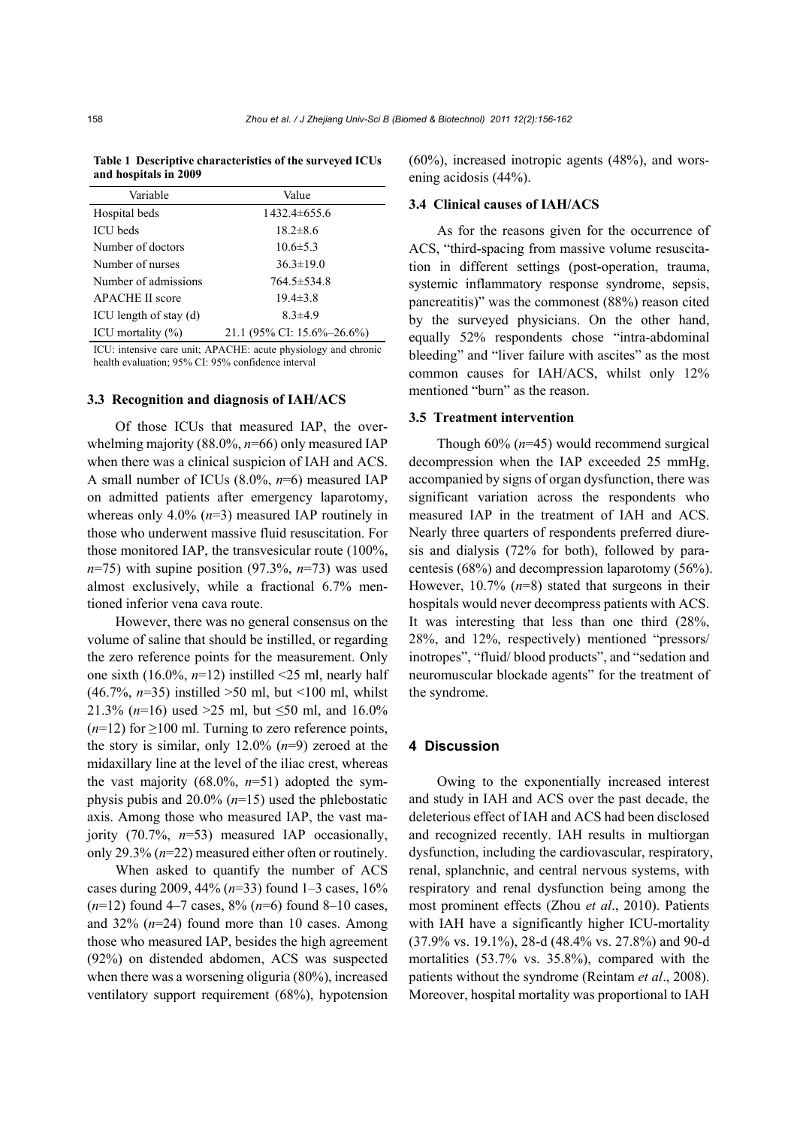| Variable               | Value                      |
|------------------------|----------------------------|
| Hospital beds          | 1432.4±655.6               |
| <b>ICU</b> beds        | $18.2 \pm 8.6$             |
| Number of doctors      | $10.6 \pm 5.3$             |
| Number of nurses       | $36.3 \pm 19.0$            |
| Number of admissions   | 764.5±534.8                |
| APACHE II score        | $19.4 \pm 3.8$             |
| ICU length of stay (d) | $8.3 \pm 4.9$              |
| ICU mortality $(\% )$  | 21.1 (95% CI: 15.6%-26.6%) |

**Table 1 Descriptive characteristics of the surveyed ICUs and hospitals in 2009**

ICU: intensive care unit; APACHE: acute physiology and chronic health evaluation; 95% CI: 95% confidence interval

#### **3.3 Recognition and diagnosis of IAH/ACS**

Of those ICUs that measured IAP, the overwhelming majority (88.0%, *n*=66) only measured IAP when there was a clinical suspicion of IAH and ACS. A small number of ICUs (8.0%, *n*=6) measured IAP on admitted patients after emergency laparotomy, whereas only 4.0% (*n*=3) measured IAP routinely in those who underwent massive fluid resuscitation. For those monitored IAP, the transvesicular route (100%,  $n=75$ ) with supine position (97.3%,  $n=73$ ) was used almost exclusively, while a fractional 6.7% mentioned inferior vena cava route.

However, there was no general consensus on the volume of saline that should be instilled, or regarding the zero reference points for the measurement. Only one sixth  $(16.0\%, n=12)$  instilled <25 ml, nearly half (46.7%, *n*=35) instilled >50 ml, but <100 ml, whilst 21.3%  $(n=16)$  used >25 ml, but  $\leq 50$  ml, and  $16.0\%$  $(n=12)$  for  $\geq 100$  ml. Turning to zero reference points, the story is similar, only 12.0% (*n*=9) zeroed at the midaxillary line at the level of the iliac crest, whereas the vast majority  $(68.0\%, n=51)$  adopted the symphysis pubis and 20.0% (*n*=15) used the phlebostatic axis. Among those who measured IAP, the vast majority (70.7%, *n*=53) measured IAP occasionally, only 29.3% (*n*=22) measured either often or routinely.

When asked to quantify the number of ACS cases during 2009, 44% (*n*=33) found 1–3 cases, 16% (*n*=12) found 4–7 cases, 8% (*n*=6) found 8–10 cases, and 32% (*n*=24) found more than 10 cases. Among those who measured IAP, besides the high agreement (92%) on distended abdomen, ACS was suspected when there was a worsening oliguria (80%), increased ventilatory support requirement (68%), hypotension

(60%), increased inotropic agents (48%), and worsening acidosis (44%).

### **3.4 Clinical causes of IAH/ACS**

As for the reasons given for the occurrence of ACS, "third-spacing from massive volume resuscitation in different settings (post-operation, trauma, systemic inflammatory response syndrome, sepsis, pancreatitis)" was the commonest (88%) reason cited by the surveyed physicians. On the other hand, equally 52% respondents chose "intra-abdominal bleeding" and "liver failure with ascites" as the most common causes for IAH/ACS, whilst only 12% mentioned "burn" as the reason.

#### **3.5 Treatment intervention**

Though 60% (*n*=45) would recommend surgical decompression when the IAP exceeded 25 mmHg, accompanied by signs of organ dysfunction, there was significant variation across the respondents who measured IAP in the treatment of IAH and ACS. Nearly three quarters of respondents preferred diuresis and dialysis (72% for both), followed by paracentesis (68%) and decompression laparotomy (56%). However, 10.7% (*n*=8) stated that surgeons in their hospitals would never decompress patients with ACS. It was interesting that less than one third (28%, 28%, and 12%, respectively) mentioned "pressors/ inotropes", "fluid/ blood products", and "sedation and neuromuscular blockade agents" for the treatment of the syndrome.

#### **4 Discussion**

Owing to the exponentially increased interest and study in IAH and ACS over the past decade, the deleterious effect of IAH and ACS had been disclosed and recognized recently. IAH results in multiorgan dysfunction, including the cardiovascular, respiratory, renal, splanchnic, and central nervous systems, with respiratory and renal dysfunction being among the most prominent effects (Zhou *et al*., 2010). Patients with IAH have a significantly higher ICU-mortality (37.9% vs. 19.1%), 28-d (48.4% vs. 27.8%) and 90-d mortalities (53.7% vs. 35.8%), compared with the patients without the syndrome (Reintam *et al*., 2008). Moreover, hospital mortality was proportional to IAH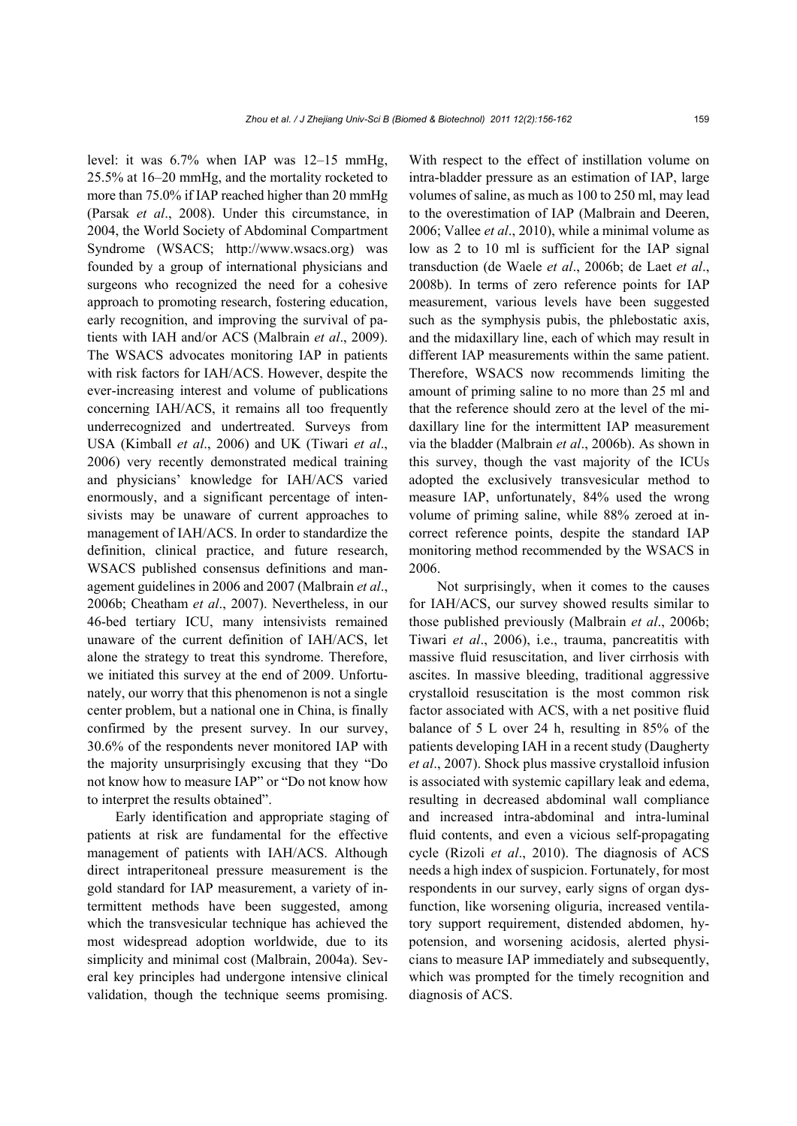level: it was 6.7% when IAP was 12–15 mmHg, 25.5% at 16–20 mmHg, and the mortality rocketed to more than 75.0% if IAP reached higher than 20 mmHg (Parsak *et al*., 2008). Under this circumstance, in 2004, the World Society of Abdominal Compartment Syndrome (WSACS; http://www.wsacs.org) was founded by a group of international physicians and surgeons who recognized the need for a cohesive approach to promoting research, fostering education, early recognition, and improving the survival of patients with IAH and/or ACS (Malbrain *et al*., 2009). The WSACS advocates monitoring IAP in patients with risk factors for IAH/ACS. However, despite the ever-increasing interest and volume of publications concerning IAH/ACS, it remains all too frequently underrecognized and undertreated. Surveys from USA (Kimball *et al*., 2006) and UK (Tiwari *et al*., 2006) very recently demonstrated medical training and physicians' knowledge for IAH/ACS varied enormously, and a significant percentage of intensivists may be unaware of current approaches to management of IAH/ACS. In order to standardize the definition, clinical practice, and future research, WSACS published consensus definitions and management guidelines in 2006 and 2007 (Malbrain *et al*., 2006b; Cheatham *et al*., 2007). Nevertheless, in our 46-bed tertiary ICU, many intensivists remained unaware of the current definition of IAH/ACS, let alone the strategy to treat this syndrome. Therefore, we initiated this survey at the end of 2009. Unfortunately, our worry that this phenomenon is not a single center problem, but a national one in China, is finally confirmed by the present survey. In our survey, 30.6% of the respondents never monitored IAP with the majority unsurprisingly excusing that they "Do not know how to measure IAP" or "Do not know how to interpret the results obtained".

Early identification and appropriate staging of patients at risk are fundamental for the effective management of patients with IAH/ACS. Although direct intraperitoneal pressure measurement is the gold standard for IAP measurement, a variety of intermittent methods have been suggested, among which the transvesicular technique has achieved the most widespread adoption worldwide, due to its simplicity and minimal cost (Malbrain, 2004a). Several key principles had undergone intensive clinical validation, though the technique seems promising.

With respect to the effect of instillation volume on intra-bladder pressure as an estimation of IAP, large volumes of saline, as much as 100 to 250 ml, may lead to the overestimation of IAP (Malbrain and Deeren, 2006; Vallee *et al*., 2010), while a minimal volume as low as 2 to 10 ml is sufficient for the IAP signal transduction (de Waele *et al*., 2006b; de Laet *et al*., 2008b). In terms of zero reference points for IAP measurement, various levels have been suggested such as the symphysis pubis, the phlebostatic axis, and the midaxillary line, each of which may result in different IAP measurements within the same patient. Therefore, WSACS now recommends limiting the amount of priming saline to no more than 25 ml and that the reference should zero at the level of the midaxillary line for the intermittent IAP measurement via the bladder (Malbrain *et al*., 2006b). As shown in this survey, though the vast majority of the ICUs adopted the exclusively transvesicular method to measure IAP, unfortunately, 84% used the wrong volume of priming saline, while 88% zeroed at incorrect reference points, despite the standard IAP monitoring method recommended by the WSACS in 2006.

Not surprisingly, when it comes to the causes for IAH/ACS, our survey showed results similar to those published previously (Malbrain *et al*., 2006b; Tiwari *et al*., 2006), i.e., trauma, pancreatitis with massive fluid resuscitation, and liver cirrhosis with ascites. In massive bleeding, traditional aggressive crystalloid resuscitation is the most common risk factor associated with ACS, with a net positive fluid balance of 5 L over 24 h, resulting in 85% of the patients developing IAH in a recent study (Daugherty *et al*., 2007). Shock plus massive crystalloid infusion is associated with systemic capillary leak and edema, resulting in decreased abdominal wall compliance and increased intra-abdominal and intra-luminal fluid contents, and even a vicious self-propagating cycle (Rizoli *et al*., 2010). The diagnosis of ACS needs a high index of suspicion. Fortunately, for most respondents in our survey, early signs of organ dysfunction, like worsening oliguria, increased ventilatory support requirement, distended abdomen, hypotension, and worsening acidosis, alerted physicians to measure IAP immediately and subsequently, which was prompted for the timely recognition and diagnosis of ACS.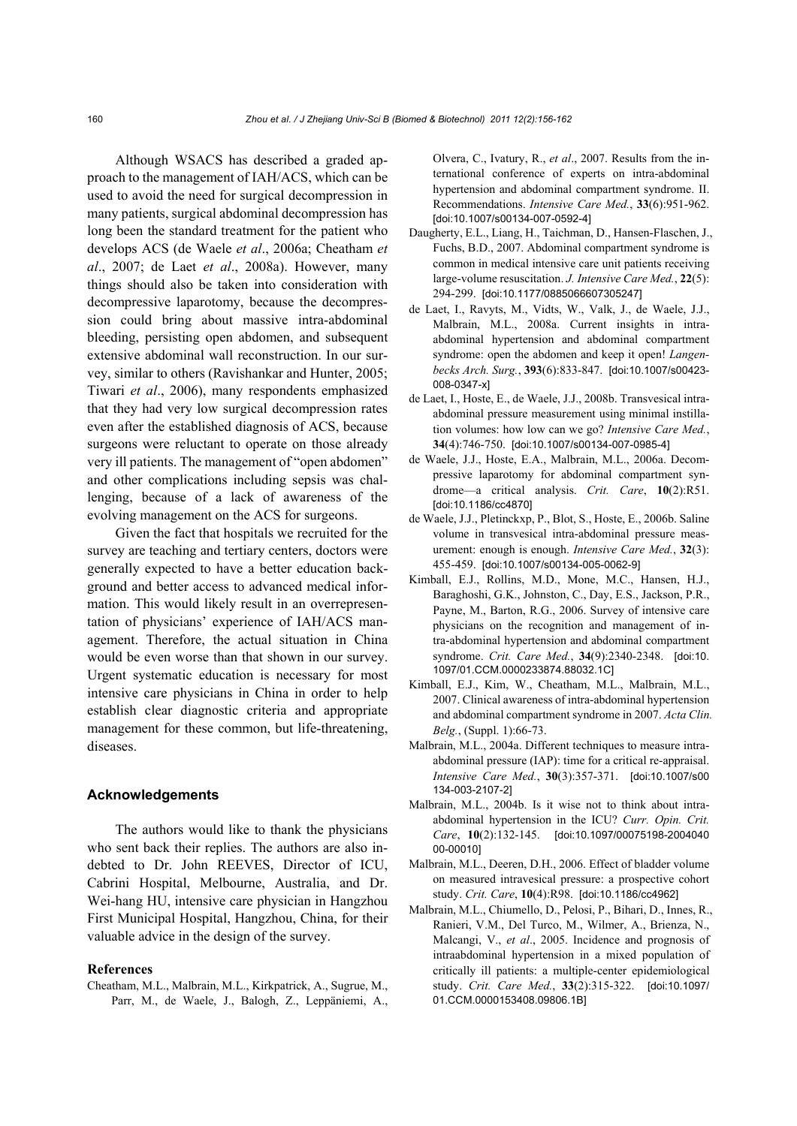Although WSACS has described a graded approach to the management of IAH/ACS, which can be used to avoid the need for surgical decompression in many patients, surgical abdominal decompression has long been the standard treatment for the patient who develops ACS (de Waele *et al*., 2006a; Cheatham *et al*., 2007; de Laet *et al*., 2008a). However, many things should also be taken into consideration with decompressive laparotomy, because the decompression could bring about massive intra-abdominal bleeding, persisting open abdomen, and subsequent extensive abdominal wall reconstruction. In our survey, similar to others (Ravishankar and Hunter, 2005; Tiwari *et al*., 2006), many respondents emphasized that they had very low surgical decompression rates even after the established diagnosis of ACS, because surgeons were reluctant to operate on those already very ill patients. The management of "open abdomen" and other complications including sepsis was challenging, because of a lack of awareness of the evolving management on the ACS for surgeons.

Given the fact that hospitals we recruited for the survey are teaching and tertiary centers, doctors were generally expected to have a better education background and better access to advanced medical information. This would likely result in an overrepresentation of physicians' experience of IAH/ACS management. Therefore, the actual situation in China would be even worse than that shown in our survey. Urgent systematic education is necessary for most intensive care physicians in China in order to help establish clear diagnostic criteria and appropriate management for these common, but life-threatening, diseases.

## **Acknowledgements**

The authors would like to thank the physicians who sent back their replies. The authors are also indebted to Dr. John REEVES, Director of ICU, Cabrini Hospital, Melbourne, Australia, and Dr. Wei-hang HU, intensive care physician in Hangzhou First Municipal Hospital, Hangzhou, China, for their valuable advice in the design of the survey.

#### **References**

Cheatham, M.L., Malbrain, M.L., Kirkpatrick, A., Sugrue, M., Parr, M., de Waele, J., Balogh, Z., Leppäniemi, A., Olvera, C., Ivatury, R., *et al*., 2007. Results from the international conference of experts on intra-abdominal hypertension and abdominal compartment syndrome. II. Recommendations. *Intensive Care Med.*, **33**(6):951-962. [doi:10.1007/s00134-007-0592-4]

- Daugherty, E.L., Liang, H., Taichman, D., Hansen-Flaschen, J., Fuchs, B.D., 2007. Abdominal compartment syndrome is common in medical intensive care unit patients receiving large-volume resuscitation. *J. Intensive Care Med.*, **22**(5): 294-299. [doi:10.1177/0885066607305247]
- de Laet, I., Ravyts, M., Vidts, W., Valk, J., de Waele, J.J., Malbrain, M.L., 2008a. Current insights in intraabdominal hypertension and abdominal compartment syndrome: open the abdomen and keep it open! *Langenbecks Arch. Surg.*, **393**(6):833-847. [doi:10.1007/s00423- 008-0347-x]
- de Laet, I., Hoste, E., de Waele, J.J., 2008b. Transvesical intraabdominal pressure measurement using minimal instillation volumes: how low can we go? *Intensive Care Med.*, **34**(4):746-750. [doi:10.1007/s00134-007-0985-4]
- de Waele, J.J., Hoste, E.A., Malbrain, M.L., 2006a. Decompressive laparotomy for abdominal compartment syndrome—a critical analysis. *Crit. Care*, **10**(2):R51. [doi:10.1186/cc4870]
- de Waele, J.J., Pletinckxp, P., Blot, S., Hoste, E., 2006b. Saline volume in transvesical intra-abdominal pressure measurement: enough is enough. *Intensive Care Med.*, **32**(3): 455-459. [doi:10.1007/s00134-005-0062-9]
- Kimball, E.J., Rollins, M.D., Mone, M.C., Hansen, H.J., Baraghoshi, G.K., Johnston, C., Day, E.S., Jackson, P.R., Payne, M., Barton, R.G., 2006. Survey of intensive care physicians on the recognition and management of intra-abdominal hypertension and abdominal compartment syndrome. *Crit. Care Med.*, **34**(9):2340-2348. [doi:10. 1097/01.CCM.0000233874.88032.1C]
- Kimball, E.J., Kim, W., Cheatham, M.L., Malbrain, M.L., 2007. Clinical awareness of intra-abdominal hypertension and abdominal compartment syndrome in 2007. *Acta Clin. Belg.*, (Suppl. 1):66-73.
- Malbrain, M.L., 2004a. Different techniques to measure intraabdominal pressure (IAP): time for a critical re-appraisal. *Intensive Care Med.*, **30**(3):357-371. [doi:10.1007/s00 134-003-2107-2]
- Malbrain, M.L., 2004b. Is it wise not to think about intraabdominal hypertension in the ICU? *Curr. Opin. Crit. Care*, **10**(2):132-145. [doi:10.1097/00075198-2004040 00-00010]
- Malbrain, M.L., Deeren, D.H., 2006. Effect of bladder volume on measured intravesical pressure: a prospective cohort study. *Crit. Care*, **10**(4):R98. [doi:10.1186/cc4962]
- Malbrain, M.L., Chiumello, D., Pelosi, P., Bihari, D., Innes, R., Ranieri, V.M., Del Turco, M., Wilmer, A., Brienza, N., Malcangi, V., *et al*., 2005. Incidence and prognosis of intraabdominal hypertension in a mixed population of critically ill patients: a multiple-center epidemiological study. *Crit. Care Med.*, **33**(2):315-322. [doi:10.1097/ 01.CCM.0000153408.09806.1B]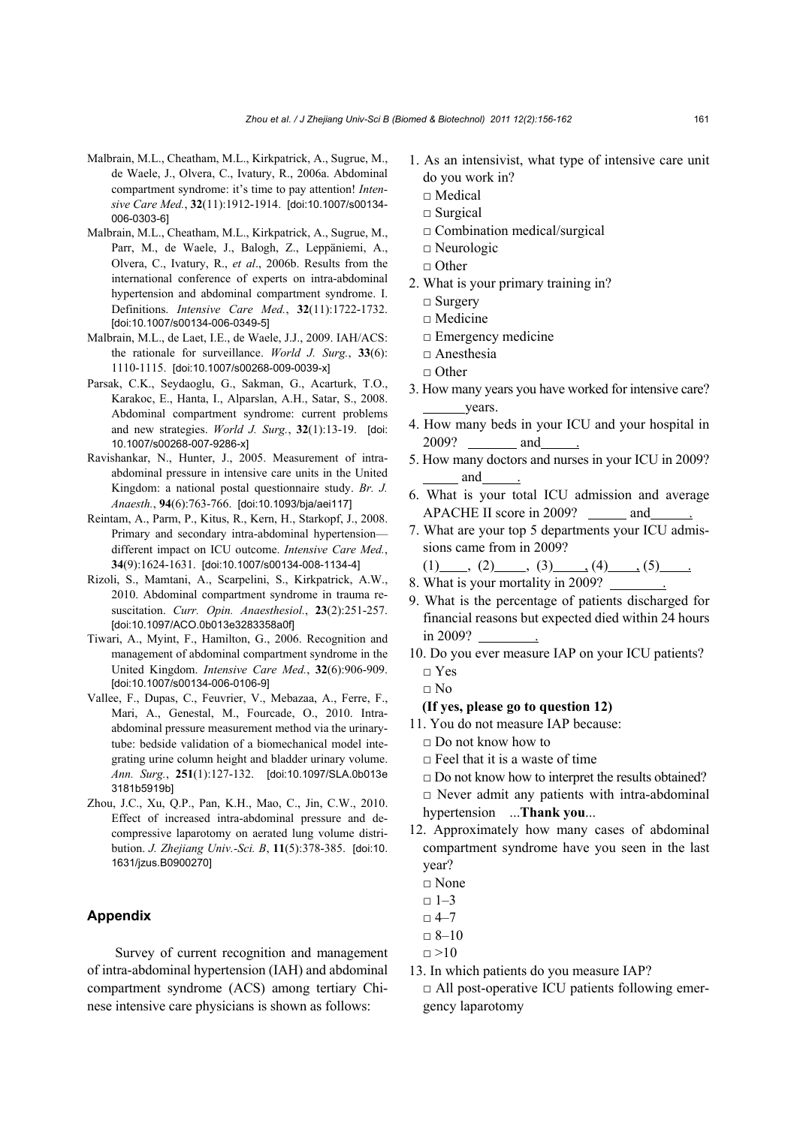- Malbrain, M.L., Cheatham, M.L., Kirkpatrick, A., Sugrue, M., de Waele, J., Olvera, C., Ivatury, R., 2006a. Abdominal compartment syndrome: it's time to pay attention! *Intensive Care Med.*, **32**(11):1912-1914. [doi:10.1007/s00134- 006-0303-6]
- Malbrain, M.L., Cheatham, M.L., Kirkpatrick, A., Sugrue, M., Parr, M., de Waele, J., Balogh, Z., Leppäniemi, A., Olvera, C., Ivatury, R., *et al*., 2006b. Results from the international conference of experts on intra-abdominal hypertension and abdominal compartment syndrome. I. Definitions. *Intensive Care Med.*, **32**(11):1722-1732. [doi:10.1007/s00134-006-0349-5]
- Malbrain, M.L., de Laet, I.E., de Waele, J.J., 2009. IAH/ACS: the rationale for surveillance. *World J. Surg.*, **33**(6): 1110-1115. [doi:10.1007/s00268-009-0039-x]
- Parsak, C.K., Seydaoglu, G., Sakman, G., Acarturk, T.O., Karakoc, E., Hanta, I., Alparslan, A.H., Satar, S., 2008. Abdominal compartment syndrome: current problems and new strategies. *World J. Surg.*, **32**(1):13-19. [doi: 10.1007/s00268-007-9286-x]
- Ravishankar, N., Hunter, J., 2005. Measurement of intraabdominal pressure in intensive care units in the United Kingdom: a national postal questionnaire study. *Br. J. Anaesth.*, **94**(6):763-766. [doi:10.1093/bja/aei117]
- Reintam, A., Parm, P., Kitus, R., Kern, H., Starkopf, J., 2008. Primary and secondary intra-abdominal hypertension different impact on ICU outcome. *Intensive Care Med.*, **34**(9):1624-1631. [doi:10.1007/s00134-008-1134-4]
- Rizoli, S., Mamtani, A., Scarpelini, S., Kirkpatrick, A.W., 2010. Abdominal compartment syndrome in trauma resuscitation. *Curr. Opin. Anaesthesiol.*, **23**(2):251-257. [doi:10.1097/ACO.0b013e3283358a0f]
- Tiwari, A., Myint, F., Hamilton, G., 2006. Recognition and management of abdominal compartment syndrome in the United Kingdom. *Intensive Care Med.*, **32**(6):906-909. [doi:10.1007/s00134-006-0106-9]
- Vallee, F., Dupas, C., Feuvrier, V., Mebazaa, A., Ferre, F., Mari, A., Genestal, M., Fourcade, O., 2010. Intraabdominal pressure measurement method via the urinarytube: bedside validation of a biomechanical model integrating urine column height and bladder urinary volume. *Ann. Surg.*, **251**(1):127-132. [doi:10.1097/SLA.0b013e 3181b5919b]
- Zhou, J.C., Xu, Q.P., Pan, K.H., Mao, C., Jin, C.W., 2010. Effect of increased intra-abdominal pressure and decompressive laparotomy on aerated lung volume distribution. *J. Zhejiang Univ.-Sci. B*, **11**(5):378-385. [doi:10. 1631/jzus.B0900270]

# **Appendix**

Survey of current recognition and management of intra-abdominal hypertension (IAH) and abdominal compartment syndrome (ACS) among tertiary Chinese intensive care physicians is shown as follows:

- 1. As an intensivist, what type of intensive care unit do you work in?
	- □ Medical
	- □ Surgical
	- □ Combination medical/surgical
	- □ Neurologic
	- □ Other
- 2. What is your primary training in?
	- □ Surgery
	- □ Medicine
	- □ Emergency medicine
	- □ Anesthesia
	- □ Other
- 3. How many years you have worked for intensive care? years.
- 4. How many beds in your ICU and your hospital in 2009? and
- 5. How many doctors and nurses in your ICU in 2009? and
- 6. What is your total ICU admission and average APACHE II score in 2009? \_\_\_\_\_\_\_ and
- 7. What are your top 5 departments your ICU admissions came from in 2009?
- $(1)$ ,  $(2)$ ,  $(3)$ ,  $(4)$ ,  $(5)$
- 8. What is your mortality in 2009?
- 9. What is the percentage of patients discharged for financial reasons but expected died within 24 hours in 2009? .
- 10. Do you ever measure IAP on your ICU patients? □ Yes
	- □ No

#### **(If yes, please go to question 12)**

- 11. You do not measure IAP because:
	- $\Box$  Do not know how to
	- $\Box$  Feel that it is a waste of time
	- □ Do not know how to interpret the results obtained?
	- $\square$  Never admit any patients with intra-abdominal hypertension ...**Thank you**...
- 12. Approximately how many cases of abdominal compartment syndrome have you seen in the last year?
	- □ None
	- $\Box$  1–3
	- $\Box$  4–7
	- $= 8 10$
	- $\Box > 10$
- 13. In which patients do you measure IAP?

 $\Box$  All post-operative ICU patients following emergency laparotomy